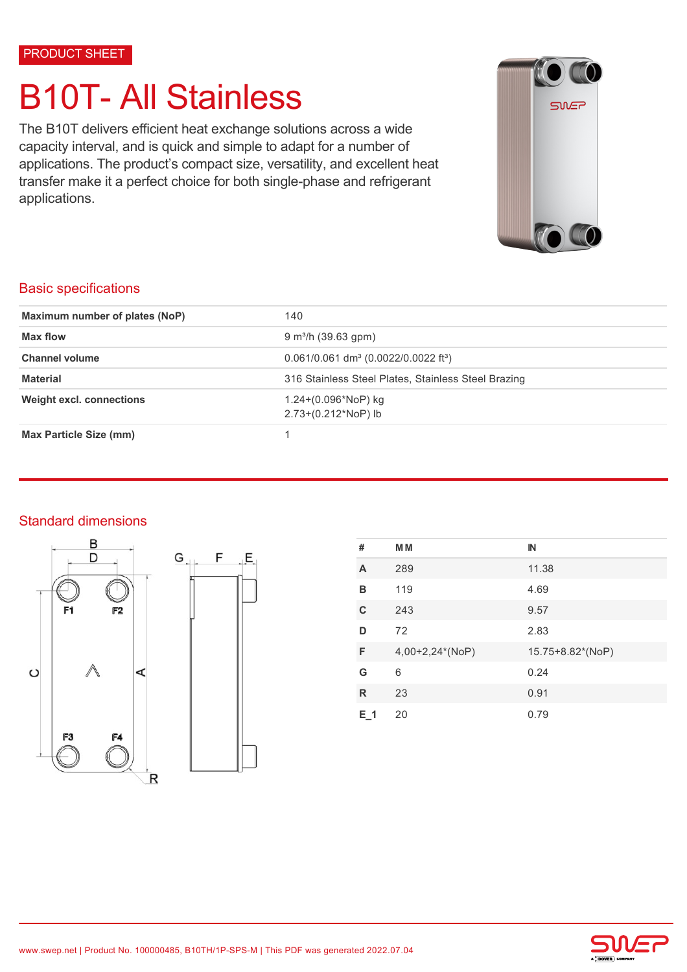PRODUCT SHEET

# B10T- All Stainless

The B10T delivers efficient heat exchange solutions across a wide capacity interval, and is quick and simple to adapt for a number of applications. The product's compact size, versatility, and excellent heat transfer make it a perfect choice for both single-phase and refrigerant applications.



### Basic specifications

| Maximum number of plates (NoP)  | 140                                                            |  |
|---------------------------------|----------------------------------------------------------------|--|
| Max flow                        | $9 \text{ m}^3$ /h (39.63 gpm)                                 |  |
| <b>Channel volume</b>           | $0.061/0.061$ dm <sup>3</sup> (0.0022/0.0022 ft <sup>3</sup> ) |  |
| <b>Material</b>                 | 316 Stainless Steel Plates, Stainless Steel Brazing            |  |
| <b>Weight excl. connections</b> | $1.24+(0.096*NOP)$ kg<br>$2.73+(0.212*NoP)$ lb                 |  |
| Max Particle Size (mm)          |                                                                |  |

## Standard dimensions





| #   | M M             | IN               |
|-----|-----------------|------------------|
| A   | 289             | 11.38            |
| в   | 119             | 4.69             |
| C   | 243             | 9.57             |
| D   | 72              | 2.83             |
| F   | 4,00+2,24*(NoP) | 15.75+8.82*(NoP) |
| G   | 6               | 0.24             |
| R   | 23              | 0.91             |
| E 1 | 20              | 0.79             |